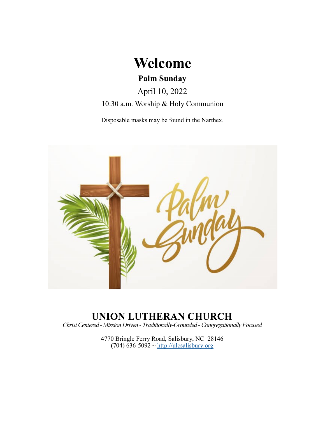

April 10, 2022

10:30 a.m. Worship & Holy Communion

Disposable masks may be found in the Narthex.



# **UNION LUTHERAN CHURCH**

*Christ Centered - Mission Driven - Traditionally-Grounded -Congregationally Focused*

4770 Bringle Ferry Road, Salisbury, NC 28146  $(704)$  636-5092 ~<http://ulcsalisbury.org>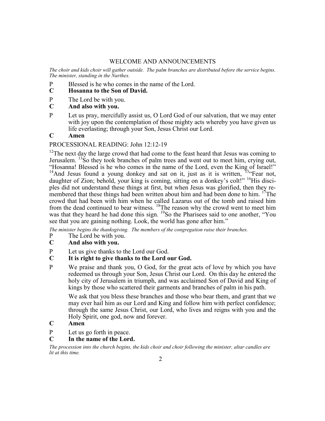# WELCOME AND ANNOUNCEMENTS

*The choir and kids choir will gather outside. The palm branches are distributed before the service begins. The minister, standing in the Narthex.*

- P Blessed is he who comes in the name of the Lord.<br>C Hosanna to the Son of David.
- **C Hosanna to the Son of David.**
- P The Lord be with you.<br>C **And also with you.**
- **C And also with you.**
- P Let us pray, mercifully assist us, O Lord God of our salvation, that we may enter with joy upon the contemplation of those mighty acts whereby you have given us life everlasting; through your Son, Jesus Christ our Lord.

## **C Amen**

## PROCESSIONAL READING: John 12:12-19

<sup>12</sup>The next day the large crowd that had come to the feast heard that Jesus was coming to Jerusalem.  $^{13}$ So they took branches of palm trees and went out to meet him, crying out, "Hosanna! Blessed is he who comes in the name of the Lord, even the King of Israel!" <sup>14</sup>And Jesus found a young donkey and sat on it, just as it is written, <sup>15\*</sup> Fear not, daughter of Zion; behold, your king is coming, sitting on a donkey's colt!" <sup>16</sup>His disciples did not understand these things at first, but when Jesus was glorified, then they remembered that these things had been written about him and had been done to him. <sup>17</sup>The crowd that had been with him when he called Lazarus out of the tomb and raised him from the dead continued to bear witness. <sup>18</sup>The reason why the crowd went to meet him was that they heard he had done this sign. <sup>19</sup>So the Pharisees said to one another, "You see that you are gaining nothing. Look, the world has gone after him."

*The minister begins the thanksgiving. The members of the congregation raise their branches.*

- P The Lord be with you.
- **C And also with you.**
- P Let us give thanks to the Lord our God.<br>C It is right to give thanks to the Lord of
- **C It is right to give thanks to the Lord our God.**
- P We praise and thank you, O God, for the great acts of love by which you have redeemed us through your Son, Jesus Christ our Lord. On this day he entered the holy city of Jerusalem in triumph, and was acclaimed Son of David and King of kings by those who scattered their garments and branches of palm in his path.

We ask that you bless these branches and those who bear them, and grant that we may ever hail him as our Lord and King and follow him with perfect confidence; through the same Jesus Christ, our Lord, who lives and reigns with you and the Holy Spirit, one god, now and forever.

# **C Amen**

P Let us go forth in peace.

# **C In the name of the Lord.**

*The procession into the church begins, the kids choir and choir following the minister, altar candles are lit at this time.*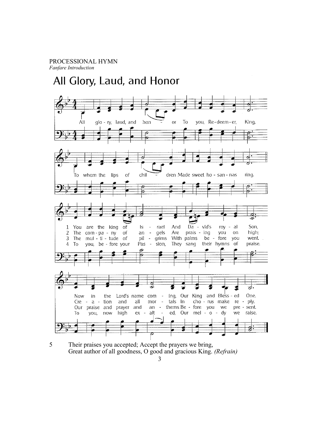# All Glory, Laud, and Honor



5 Their praises you accepted; Accept the prayers we bring, Great author of all goodness, O good and gracious King. *(Refrain)*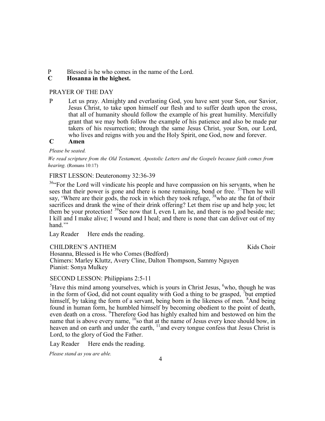P Blessed is he who comes in the name of the Lord.<br>C Hosanna in the highest.

# **C Hosanna in the highest.**

# PRAYER OF THE DAY

P Let us pray. Almighty and everlasting God, you have sent your Son, our Savior, Jesus Christ, to take upon himself our flesh and to suffer death upon the cross, that all of humanity should follow the example of his great humility. Mercifully grant that we may both follow the example of his patience and also be made par takers of his resurrection; through the same Jesus Christ, your Son, our Lord, who lives and reigns with you and the Holy Spirit, one God, now and forever.

# **C Amen**

#### *Please be seated.*

*We read scripture from the Old Testament, Apostolic Letters and the Gospels because faith comes from hearing.* (Romans 10:17)

## FIRST LESSON: Deuteronomy 32:36-39

<sup>36</sup> For the Lord will vindicate his people and have compassion on his servants, when he sees that their power is gone and there is none remaining, bond or free. <sup>37</sup>Then he will say, 'Where are their gods, the rock in which they took refuge, <sup>38</sup>who ate the fat of their sacrifices and drank the wine of their drink offering? Let them rise up and help you; let them be your protection!  $39$  See now that I, even I, am he, and there is no god beside me; I kill and I make alive; I wound and I heal; and there is none that can deliver out of my hand."

Lay Reader Here ends the reading.

CHILDREN'S ANTHEM **Kids** Choir Hosanna, Blessed is He who Comes (Bedford) Chimers: Marley Kluttz, Avery Cline, Dalton Thompson, Sammy Nguyen Pianist: Sonya Mulkey

# SECOND LESSON: Philippians 2:5-11

 ${}^{5}$ Have this mind among yourselves, which is yours in Christ Jesus,  ${}^{6}$ who, though he was in the form of God, did not count equality with God a thing to be grasped,  $\frac{7}{1}$  but emptied himself, by taking the form of a servant, being born in the likeness of men. <sup>8</sup>And being found in human form, he humbled himself by becoming obedient to the point of death, even death on a cross. <sup>9</sup>Therefore God has highly exalted him and bestowed on him the name that is above every name,  $^{10}$ so that at the name of Jesus every knee should bow, in heaven and on earth and under the earth, <sup>11</sup>and every tongue confess that Jesus Christ is Lord, to the glory of God the Father.

Lay Reader Here ends the reading.

*Please stand as you are able.*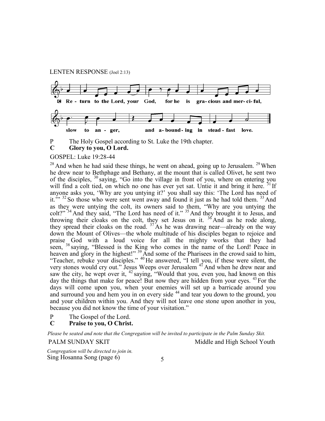#### LENTEN RESPONSE (Joel 2:13)



- P The Holy Gospel according to St. Luke the 19th chapter.
- **C Glory to you, O Lord.**

# GOSPEL: Luke 19:28-44

 $28$  And when he had said these things, he went on ahead, going up to Jerusalem.  $29$  When he drew near to Bethphage and Bethany, at the mount that is called Olivet, he sent two of the disciples, <sup>30</sup> saying, "Go into the village in front of you, where on entering you will find a colt tied, on which no one has ever yet sat. Untie it and bring it here. <sup>31</sup> If anyone asks you, 'Why are you untying it?' you shall say this: 'The Lord has need of it.<sup>'"</sup>  $32$  So those who were sent went away and found it just as he had told them.  $33$  And as they were untying the colt, its owners said to them, "Why are you untying the colt?"<sup>34</sup> And they said, "The Lord has need of it."<sup>35</sup> And they brought it to Jesus, and throwing their cloaks on the colt, they set Jesus on it.  $36$  And as he rode along, they spread their cloaks on the road.  $37$  As he was drawing near—already on the way down the Mount of Olives—the whole multitude of his disciples began to rejoice and praise God with a loud voice for all the mighty works that they had seen, <sup>38</sup> saying, "Blessed is the King who comes in the name of the Lord! Peace in heaven and glory in the highest!" <sup>39</sup> And some of the Pharisees in the crowd said to him, "Teacher, rebuke your disciples." <sup>40</sup> He answered, "I tell you, if these were silent, the very stones would cry out." Jesus Weeps over Jerusalem <sup>41</sup> And when he drew near and saw the city, he wept over it,  $42$  saying, "Would that you, even you, had known on this day the things that make for peace! But now they are hidden from your eyes. <sup>43</sup> For the days will come upon you, when your enemies will set up a barricade around you and surround you and hem you in on every side <sup>44</sup> and tear you down to the ground, you and your children within you. And they will not leave one stone upon another in you, because you did not know the time of your visitation."

P The Gospel of the Lord.

#### **C Praise to you, O Christ.**

*Please be seated and note that the Congregation will be invited to participate in the Palm Sunday Skit.*

#### PALM SUNDAY SKIT Middle and High School Youth

*Congregation will be directed to join in.* Sing Hosanna Song (page 6)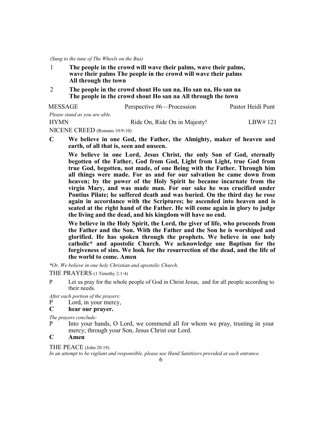*(Sung to the tune of The Wheels on the Bus)*

- 1 **The people in the crowd will wave their palms, wave their palms, wave their palms The people in the crowd will wave their palms All through the town**
- 2 **The people in the crowd shout Ho san na, Ho san na, Ho san na The people in the crowd shout Ho san na All through the town**

| MESSAGE                       | Perspective #6—Procession    | Pastor Heidi Punt |
|-------------------------------|------------------------------|-------------------|
| Please stand as you are able. |                              |                   |
| <b>HYMN</b>                   | Ride On, Ride On in Majesty! | LBW#121           |

NICENE CREED (Romans 10:9-10)

**C We believe in one God, the Father, the Almighty, maker of heaven and earth, of all that is, seen and unseen.**

**We believe in one Lord, Jesus Christ, the only Son of God, eternally begotten of the Father, God from God, Light from Light, true God from true God, begotten, not made, of one Being with the Father. Through him all things were made. For us and for our salvation he came down from heaven; by the power of the Holy Spirit he became incarnate from the virgin Mary, and was made man. For our sake he was crucified under Pontius Pilate; he suffered death and was buried. On the third day he rose again in accordance with the Scriptures; he ascended into heaven and is seated at the right hand of the Father. He will come again in glory to judge the living and the dead, and his kingdom will have no end.**

**We believe in the Holy Spirit, the Lord, the giver of life, who proceeds from the Father and the Son. With the Father and the Son he is worshiped and glorified. He has spoken through the prophets. We believe in one holy catholic\* and apostolic Church. We acknowledge one Baptism for the forgiveness of sins. We look for the resurrection of the dead, and the life of the world to come. Amen**

*\*Or, We believe in one holy Christian and apostolic Church.*

THE PRAYERS (1 Timothy 2:1-4)

- P Let us pray for the whole people of God in Christ Jesus, and for all people according to their needs.
- *After each portion of the prayers:*
- P Lord, in your mercy,
- **C hear our prayer.**

*The prayers conclude:* 

P Into your hands, O Lord, we commend all for whom we pray, trusting in your mercy; through your Son, Jesus Christ our Lord.

# **C Amen**

THE PEACE (John 20:19)

*In an attempt to be vigilant and responsible, please use Hand Sanitizers provided at each entrance.*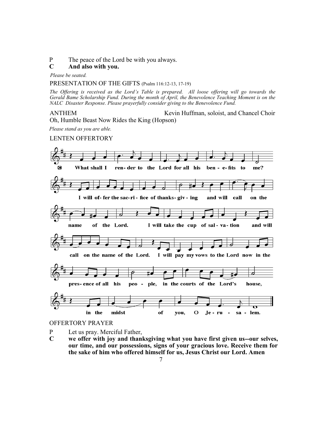P The peace of the Lord be with you always.

#### **C And also with you.**

*Please be seated.*

#### PRESENTATION OF THE GIFTS (Psalm 116:12-13, 17-19)

*The Offering is received as the Lord's Table is prepared. All loose offering will go towards the Gerald Bame Scholarship Fund. During the month of April, the Benevolence Teaching Moment is on the NALC Disaster Response. Please prayerfully consider giving to the Benevolence Fund.*

ANTHEM Kevin Huffman, soloist, and Chancel Choir Oh, Humble Beast Now Rides the King (Hopson)

*Please stand as you are able.*

#### LENTEN OFFERTORY



#### OFFERTORY PRAYER

- P Let us pray. Merciful Father,
- **C we offer with joy and thanksgiving what you have first given us--our selves, our time, and our possessions, signs of your gracious love. Receive them for the sake of him who offered himself for us, Jesus Christ our Lord. Amen**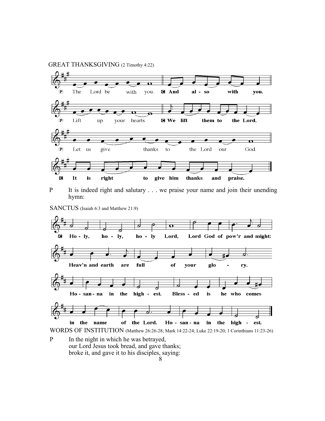



P It is indeed right and salutary . . . we praise your name and join their unending hymn:

SANCTUS (Isaiah 6:3 and Matthew 21:9)



P In the night in which he was betrayed, our Lord Jesus took bread, and gave thanks; broke it, and gave it to his disciples, saying: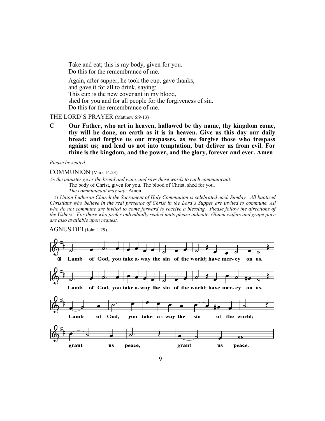Take and eat; this is my body, given for you. Do this for the remembrance of me. Again, after supper, he took the cup, gave thanks, and gave it for all to drink, saying: This cup is the new covenant in my blood, shed for you and for all people for the forgiveness of sin. Do this for the remembrance of me.

#### THE LORD'S PRAYER (Matthew 6:9-13)

**C Our Father, who art in heaven, hallowed be thy name, thy kingdom come, thy will be done, on earth as it is in heaven. Give us this day our daily bread; and forgive us our trespasses, as we forgive those who trespass against us; and lead us not into temptation, but deliver us from evil. For thine is the kingdom, and the power, and the glory, forever and ever. Amen**

*Please be seated.*

COMMUNION (Mark 14:23)

*As the minister gives the bread and wine, and says these words to each communicant:*

The body of Christ, given for you. The blood of Christ, shed for you.

*The communicant may say:* Amen

 *At Union Lutheran Church the Sacrament of Holy Communion is celebrated each Sunday. All baptized Christians who believe in the real presence of Christ in the Lord's Supper are invited to commune. All who do not commune are invited to come forward to receive a blessing. Please follow the directions of the Ushers. For those who prefer individually sealed units please indicate. Gluten wafers and grape juice are also available upon request.*

#### AGNUS DEI (John 1:29)

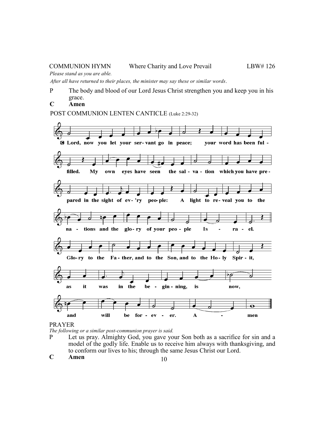*Please stand as you are able.*

*After all have returned to their places, the minister may say these or similar words*.

- P The body and blood of our Lord Jesus Christ strengthen you and keep you in his grace.
- **C Amen**

POST COMMUNION LENTEN CANTICLE (Luke 2:29-32)



PRAYER

*The following or a similar post-communion prayer is said.*

- P Let us pray. Almighty God, you gave your Son both as a sacrifice for sin and a model of the godly life. Enable us to receive him always with thanksgiving, and to conform our lives to his; through the same Jesus Christ our Lord.
- **C Amen**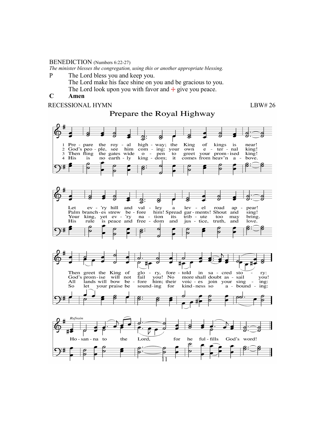#### BENEDICTION (Numbers 6:22-27)

*The minister blesses the congregation, using this or another appropriate blessing.*

P The Lord bless you and keep you.

The Lord make his face shine on you and be gracious to you. The Lord look upon you with favor and  $+$  give you peace.

# **C Amen**

RECESSIONAL HYMN LBW# 26

# Prepare the Royal Highway

g  $\overline{\mathbf{z}}$ : Ø  $\frac{1}{\sqrt{1 + \frac{1}{\sqrt{1 + \frac{1}{\sqrt{1 + \frac{1}{\sqrt{1 + \frac{1}{\sqrt{1 + \frac{1}{\sqrt{1 + \frac{1}{\sqrt{1 + \frac{1}{\sqrt{1 + \frac{1}{\sqrt{1 + \frac{1}{\sqrt{1 + \frac{1}{\sqrt{1 + \frac{1}{\sqrt{1 + \frac{1}{\sqrt{1 + \frac{1}{\sqrt{1 + \frac{1}{\sqrt{1 + \frac{1}{\sqrt{1 + \frac{1}{\sqrt{1 + \frac{1}{\sqrt{1 + \frac{1}{\sqrt{1 + \frac{1}{\sqrt{1 + \frac{1}{\sqrt{1 + \frac{1}{\sqrt{1 +$ high - way; the Pre - pare the King of kings  $\mathbf{1}$ is near! God's peo -<br>Then fling  $\begin{bmatrix} \text{cm} & \text{cm} \\ \text{cm} & -\text{ing:} \\ \text{cm} & -\text{pen} \end{bmatrix}$  to  $\frac{2}{3}$ ple, own  $e$  -  $ter$  -  $nal$ king! your prom-ised the gates wide greet  $\overline{\text{king}}$ ! pen 4 His king - dom; comes from heav'n no earth - ly it bove. is  $a \Omega$ g Ø g g: Let 'ry hill and val ley el  $ev$ lev road ap pear! a Palm branch-es strew fore him! Spread gar-ments! Shout and  $be$ sing! king, yet ev - 'ry trib - ute<br>jus - tice, Your  $na$ tion its too. may bring. His is peace and  $\sim$ rule free dom and jus truth, and love.